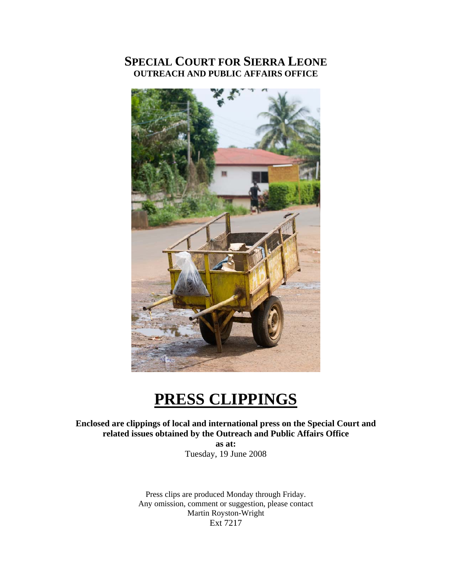### **SPECIAL COURT FOR SIERRA LEONE OUTREACH AND PUBLIC AFFAIRS OFFICE**



# **PRESS CLIPPINGS**

**Enclosed are clippings of local and international press on the Special Court and related issues obtained by the Outreach and Public Affairs Office** 

> **as at:**  Tuesday, 19 June 2008

Press clips are produced Monday through Friday. Any omission, comment or suggestion, please contact Martin Royston-Wright Ext 7217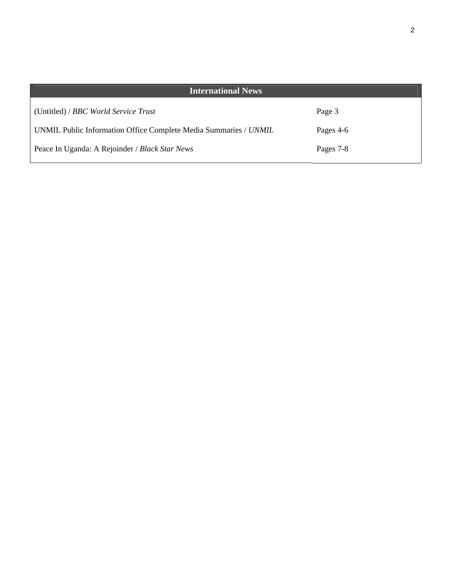| <b>International News</b>                                        |           |
|------------------------------------------------------------------|-----------|
| (Untitled) / BBC World Service Trust                             | Page 3    |
| UNMIL Public Information Office Complete Media Summaries / UNMIL | Pages 4-6 |
| Peace In Uganda: A Rejoinder / Black Star News                   | Pages 7-8 |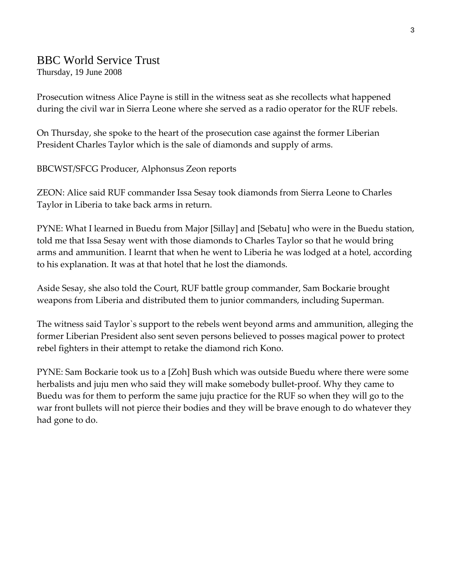### BBC World Service Trust

Thursday, 19 June 2008

Prosecution witness Alice Payne is still in the witness seat as she recollects what happened during the civil war in Sierra Leone where she served as a radio operator for the RUF rebels.

On Thursday, she spoke to the heart of the prosecution case against the former Liberian President Charles Taylor which is the sale of diamonds and supply of arms.

BBCWST/SFCG Producer, Alphonsus Zeon reports

ZEON: Alice said RUF commander Issa Sesay took diamonds from Sierra Leone to Charles Taylor in Liberia to take back arms in return.

PYNE: What I learned in Buedu from Major [Sillay] and [Sebatu] who were in the Buedu station, told me that Issa Sesay went with those diamonds to Charles Taylor so that he would bring arms and ammunition. I learnt that when he went to Liberia he was lodged at a hotel, according to his explanation. It was at that hotel that he lost the diamonds.

Aside Sesay, she also told the Court, RUF battle group commander, Sam Bockarie brought weapons from Liberia and distributed them to junior commanders, including Superman.

The witness said Taylor`s support to the rebels went beyond arms and ammunition, alleging the former Liberian President also sent seven persons believed to posses magical power to protect rebel fighters in their attempt to retake the diamond rich Kono.

PYNE: Sam Bockarie took us to a [Zoh] Bush which was outside Buedu where there were some herbalists and juju men who said they will make somebody bullet-proof. Why they came to Buedu was for them to perform the same juju practice for the RUF so when they will go to the war front bullets will not pierce their bodies and they will be brave enough to do whatever they had gone to do.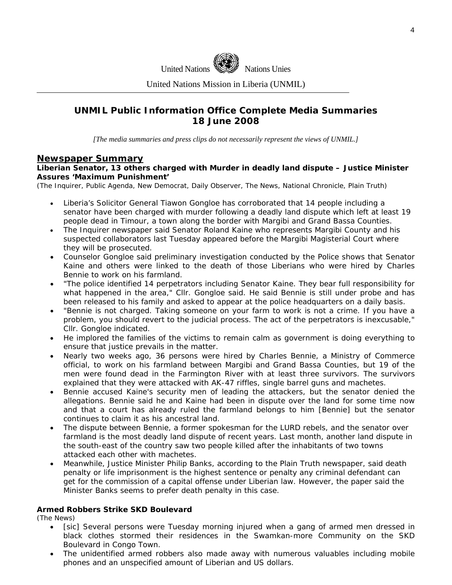

United Nations Mission in Liberia (UNMIL)

### **UNMIL Public Information Office Complete Media Summaries 18 June 2008**

*[The media summaries and press clips do not necessarily represent the views of UNMIL.]* 

### **Newspaper Summary**

#### **Liberian Senator, 13 others charged with Murder in deadly land dispute – Justice Minister Assures 'Maximum Punishment'**

(The Inquirer, Public Agenda, New Democrat, Daily Observer, The News, National Chronicle, Plain Truth)

- Liberia's Solicitor General Tiawon Gongloe has corroborated that 14 people including a senator have been charged with murder following a deadly land dispute which left at least 19 people dead in Timour, a town along the border with Margibi and Grand Bassa Counties.
- The Inquirer newspaper said Senator Roland Kaine who represents Margibi County and his suspected collaborators last Tuesday appeared before the Margibi Magisterial Court where they will be prosecuted.
- Counselor Gongloe said preliminary investigation conducted by the Police shows that Senator Kaine and others were linked to the death of those Liberians who were hired by Charles Bennie to work on his farmland.
- "The police identified 14 perpetrators including Senator Kaine. They bear full responsibility for what happened in the area," Cllr. Gongloe said. He said Bennie is still under probe and has been released to his family and asked to appear at the police headquarters on a daily basis.
- "Bennie is not charged. Taking someone on your farm to work is not a crime. If you have a problem, you should revert to the judicial process. The act of the perpetrators is inexcusable," Cllr. Gongloe indicated.
- He implored the families of the victims to remain calm as government is doing everything to ensure that justice prevails in the matter.
- Nearly two weeks ago, 36 persons were hired by Charles Bennie, a Ministry of Commerce official, to work on his farmland between Margibi and Grand Bassa Counties, but 19 of the men were found dead in the Farmington River with at least three survivors. The survivors explained that they were attacked with AK-47 riffles, single barrel guns and machetes.
- Bennie accused Kaine's security men of leading the attackers, but the senator denied the allegations. Bennie said he and Kaine had been in dispute over the land for some time now and that a court has already ruled the farmland belongs to him [Bennie] but the senator continues to claim it as his ancestral land.
- The dispute between Bennie, a former spokesman for the LURD rebels, and the senator over farmland is the most deadly land dispute of recent years. Last month, another land dispute in the south-east of the country saw two people killed after the inhabitants of two towns attacked each other with machetes.
- Meanwhile, Justice Minister Philip Banks, according to the Plain Truth newspaper, said death penalty or life imprisonment is the highest sentence or penalty any criminal defendant can get for the commission of a capital offense under Liberian law. However, the paper said the Minister Banks seems to prefer death penalty in this case.

### **Armed Robbers Strike SKD Boulevard**

(The News)

- [sic] Several persons were Tuesday morning injured when a gang of armed men dressed in black clothes stormed their residences in the Swamkan-more Community on the SKD Boulevard in Congo Town.
- The unidentified armed robbers also made away with numerous valuables including mobile phones and an unspecified amount of Liberian and US dollars.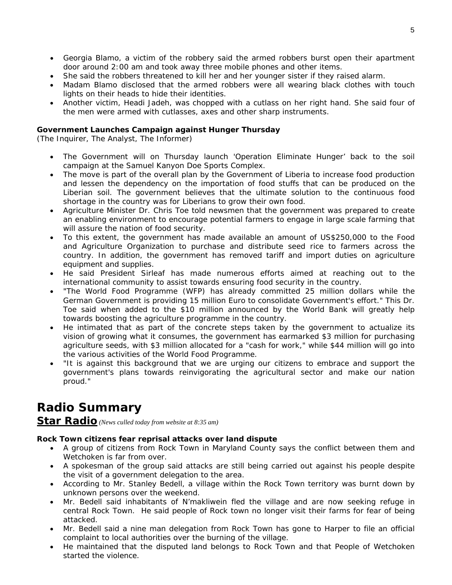- Georgia Blamo, a victim of the robbery said the armed robbers burst open their apartment door around 2:00 am and took away three mobile phones and other items.
- She said the robbers threatened to kill her and her younger sister if they raised alarm.
- Madam Blamo disclosed that the armed robbers were all wearing black clothes with touch lights on their heads to hide their identities.
- Another victim, Headi Jadeh, was chopped with a cutlass on her right hand. She said four of the men were armed with cutlasses, axes and other sharp instruments.

### **Government Launches Campaign against Hunger Thursday**

(The Inquirer, The Analyst, The Informer)

- The Government will on Thursday launch 'Operation Eliminate Hunger' back to the soil campaign at the Samuel Kanyon Doe Sports Complex.
- The move is part of the overall plan by the Government of Liberia to increase food production and lessen the dependency on the importation of food stuffs that can be produced on the Liberian soil. The government believes that the ultimate solution to the continuous food shortage in the country was for Liberians to grow their own food.
- Agriculture Minister Dr. Chris Toe told newsmen that the government was prepared to create an enabling environment to encourage potential farmers to engage in large scale farming that will assure the nation of food security.
- To this extent, the government has made available an amount of US\$250,000 to the Food and Agriculture Organization to purchase and distribute seed rice to farmers across the country. In addition, the government has removed tariff and import duties on agriculture equipment and supplies.
- He said President Sirleaf has made numerous efforts aimed at reaching out to the international community to assist towards ensuring food security in the country.
- "The World Food Programme (WFP) has already committed 25 million dollars while the German Government is providing 15 million Euro to consolidate Government's effort." This Dr. Toe said when added to the \$10 million announced by the World Bank will greatly help towards boosting the agriculture programme in the country.
- He intimated that as part of the concrete steps taken by the government to actualize its vision of growing what it consumes, the government has earmarked \$3 million for purchasing agriculture seeds, with \$3 million allocated for a "cash for work," while \$44 million will go into the various activities of the World Food Programme.
- "It is against this background that we are urging our citizens to embrace and support the government's plans towards reinvigorating the agricultural sector and make our nation proud."

# **Radio Summary**

**Star Radio** *(News culled today from website at 8:35 am)* 

### **Rock Town citizens fear reprisal attacks over land dispute**

- A group of citizens from Rock Town in Maryland County says the conflict between them and Wetchoken is far from over.
- A spokesman of the group said attacks are still being carried out against his people despite the visit of a government delegation to the area.
- According to Mr. Stanley Bedell, a village within the Rock Town territory was burnt down by unknown persons over the weekend.
- Mr. Bedell said inhabitants of N'makliwein fled the village and are now seeking refuge in central Rock Town. He said people of Rock town no longer visit their farms for fear of being attacked.
- Mr. Bedell said a nine man delegation from Rock Town has gone to Harper to file an official complaint to local authorities over the burning of the village.
- He maintained that the disputed land belongs to Rock Town and that People of Wetchoken started the violence.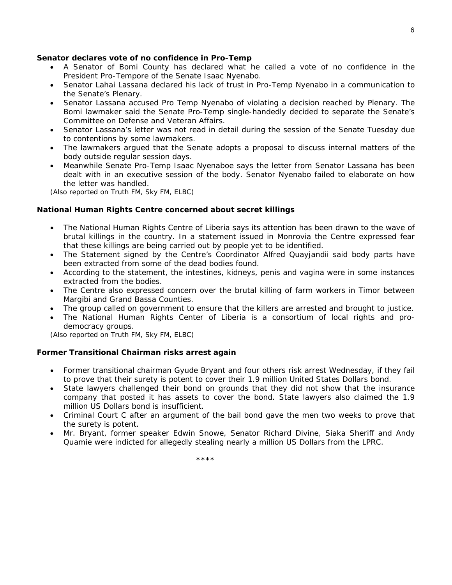#### **Senator declares vote of no confidence in Pro-Temp**

- A Senator of Bomi County has declared what he called a vote of no confidence in the President Pro-Tempore of the Senate Isaac Nyenabo.
- Senator Lahai Lassana declared his lack of trust in Pro-Temp Nyenabo in a communication to the Senate's Plenary.
- Senator Lassana accused Pro Temp Nyenabo of violating a decision reached by Plenary. The Bomi lawmaker said the Senate Pro-Temp single-handedly decided to separate the Senate's Committee on Defense and Veteran Affairs.
- Senator Lassana's letter was not read in detail during the session of the Senate Tuesday due to contentions by some lawmakers.
- The lawmakers argued that the Senate adopts a proposal to discuss internal matters of the body outside regular session days.
- Meanwhile Senate Pro-Temp Isaac Nyenaboe says the letter from Senator Lassana has been dealt with in an executive session of the body. Senator Nyenabo failed to elaborate on how the letter was handled.

*(Also reported on Truth FM, Sky FM, ELBC)* 

### **National Human Rights Centre concerned about secret killings**

- The National Human Rights Centre of Liberia says its attention has been drawn to the wave of brutal killings in the country. In a statement issued in Monrovia the Centre expressed fear that these killings are being carried out by people yet to be identified.
- The Statement signed by the Centre's Coordinator Alfred Quayjandii said body parts have been extracted from some of the dead bodies found.
- According to the statement, the intestines, kidneys, penis and vagina were in some instances extracted from the bodies.
- The Centre also expressed concern over the brutal killing of farm workers in Timor between Margibi and Grand Bassa Counties.
- The group called on government to ensure that the killers are arrested and brought to justice.
- The National Human Rights Center of Liberia is a consortium of local rights and prodemocracy groups.

*(Also reported on Truth FM, Sky FM, ELBC)* 

### **Former Transitional Chairman risks arrest again**

- Former transitional chairman Gyude Bryant and four others risk arrest Wednesday, if they fail to prove that their surety is potent to cover their 1.9 million United States Dollars bond.
- State lawyers challenged their bond on grounds that they did not show that the insurance company that posted it has assets to cover the bond. State lawyers also claimed the 1.9 million US Dollars bond is insufficient.
- Criminal Court C after an argument of the bail bond gave the men two weeks to prove that the surety is potent.
- Mr. Bryant, former speaker Edwin Snowe, Senator Richard Divine, Siaka Sheriff and Andy Quamie were indicted for allegedly stealing nearly a million US Dollars from the LPRC.

\*\*\*\*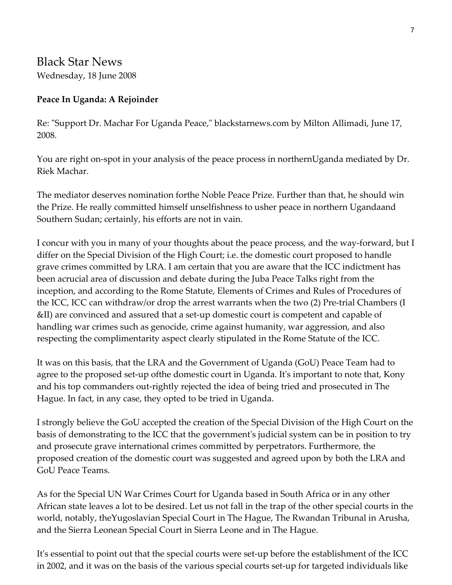## Black Star News Wednesday, 18 June 2008

### **Peace In Uganda: A Rejoinder**

Re: "Support Dr. Machar For Uganda Peace," blackstarnews.com by Milton Allimadi, June 17, 2008.

You are right on-spot in your analysis of the peace process in northernUganda mediated by Dr. Riek Machar.

The mediator deserves nomination forthe Noble Peace Prize. Further than that, he should win the Prize. He really committed himself unselfishness to usher peace in northern Ugandaand Southern Sudan; certainly, his efforts are not in vain.

I concur with you in many of your thoughts about the peace process, and the way‐forward, but I differ on the Special Division of the High Court; i.e. the domestic court proposed to handle grave crimes committed by LRA. I am certain that you are aware that the ICC indictment has been acrucial area of discussion and debate during the Juba Peace Talks right from the inception, and according to the Rome Statute, Elements of Crimes and Rules of Procedures of the ICC, ICC can withdraw/or drop the arrest warrants when the two (2) Pre‐trial Chambers (I &II) are convinced and assured that a set‐up domestic court is competent and capable of handling war crimes such as genocide, crime against humanity, war aggression, and also respecting the complimentarity aspect clearly stipulated in the Rome Statute of the ICC.

It was on this basis, that the LRA and the Government of Uganda (GoU) Peace Team had to agree to the proposed set-up of the domestic court in Uganda. It's important to note that, Kony and his top commanders out‐rightly rejected the idea of being tried and prosecuted in The Hague. In fact, in any case, they opted to be tried in Uganda.

I strongly believe the GoU accepted the creation of the Special Division of the High Court on the basis of demonstrating to the ICC that the governmentʹs judicial system can be in position to try and prosecute grave international crimes committed by perpetrators. Furthermore, the proposed creation of the domestic court was suggested and agreed upon by both the LRA and GoU Peace Teams.

As for the Special UN War Crimes Court for Uganda based in South Africa or in any other African state leaves a lot to be desired. Let us not fall in the trap of the other special courts in the world, notably, theYugoslavian Special Court in The Hague, The Rwandan Tribunal in Arusha, and the Sierra Leonean Special Court in Sierra Leone and in The Hague.

It's essential to point out that the special courts were set-up before the establishment of the ICC in 2002, and it was on the basis of the various special courts set‐up for targeted individuals like